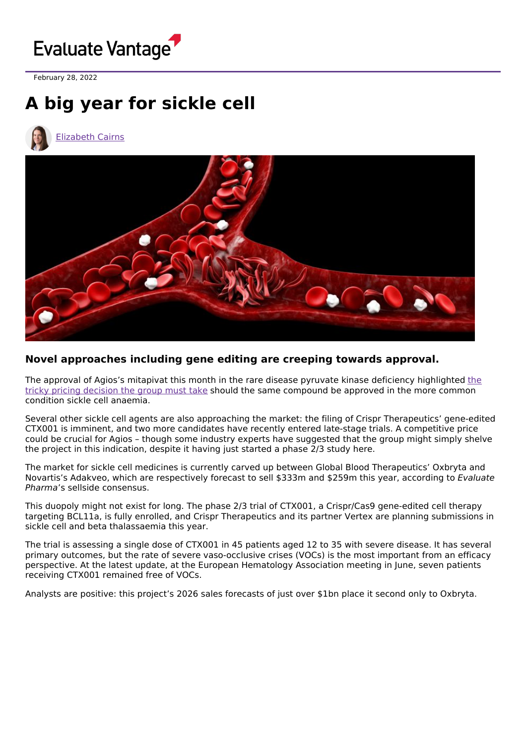

February 28, 2022

## **A big year for sickle cell**

[Elizabeth](https://www.evaluate.com/vantage/editorial-team/elizabeth-cairns) Cairns



## **Novel approaches including gene editing are creeping towards approval.**

The approval of Agios's mitapivat this month in the rare disease pyruvate kinase deficiency [highlighted](https://www.evaluate.com/vantage/articles/news/pricing/agioss-pricing-dilemma) the tricky pricing decision the group must take should the same compound be approved in the more common condition sickle cell anaemia.

Several other sickle cell agents are also approaching the market: the filing of Crispr Therapeutics' gene-edited CTX001 is imminent, and two more candidates have recently entered late-stage trials. A competitive price could be crucial for Agios – though some industry experts have suggested that the group might simply shelve the project in this indication, despite it having just started a phase 2/3 study here.

The market for sickle cell medicines is currently carved up between Global Blood Therapeutics' Oxbryta and Novartis's Adakveo, which are respectively forecast to sell \$333m and \$259m this year, according to Evaluate Pharma's sellside consensus.

This duopoly might not exist for long. The phase 2/3 trial of CTX001, a Crispr/Cas9 gene-edited cell therapy targeting BCL11a, is fully enrolled, and Crispr Therapeutics and its partner Vertex are planning submissions in sickle cell and beta thalassaemia this year.

The trial is assessing a single dose of CTX001 in 45 patients aged 12 to 35 with severe disease. It has several primary outcomes, but the rate of severe vaso-occlusive crises (VOCs) is the most important from an efficacy perspective. At the latest update, at the European Hematology Association meeting in June, seven patients receiving CTX001 remained free of VOCs.

Analysts are positive: this project's 2026 sales forecasts of just over \$1bn place it second only to Oxbryta.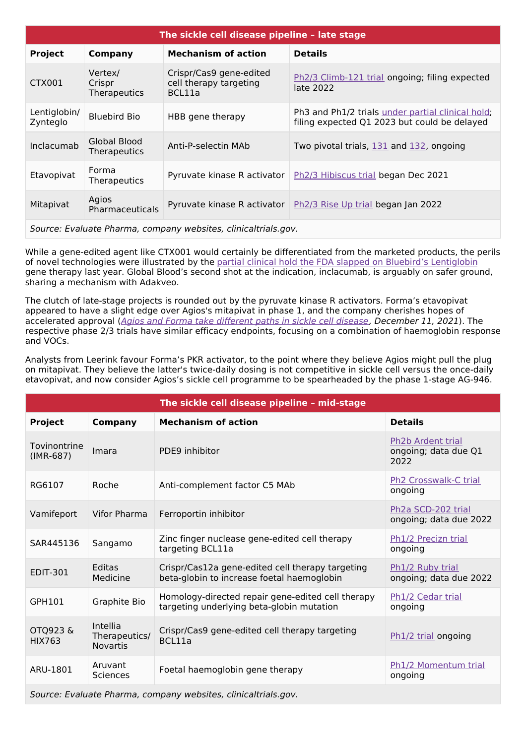| The sickle cell disease pipeline - late stage                  |                                   |                                                             |                                                                                                   |  |  |  |
|----------------------------------------------------------------|-----------------------------------|-------------------------------------------------------------|---------------------------------------------------------------------------------------------------|--|--|--|
| <b>Project</b>                                                 | Company                           | <b>Mechanism of action</b>                                  | <b>Details</b>                                                                                    |  |  |  |
| CTX001                                                         | Vertex/<br>Crispr<br>Therapeutics | Crispr/Cas9 gene-edited<br>cell therapy targeting<br>BCL11a | Ph2/3 Climb-121 trial ongoing; filing expected<br>late 2022                                       |  |  |  |
| Lentiglobin/<br>Zynteglo                                       | <b>Bluebird Bio</b>               | HBB gene therapy                                            | Ph3 and Ph1/2 trials under partial clinical hold;<br>filing expected Q1 2023 but could be delayed |  |  |  |
| Inclacumab                                                     | Global Blood<br>Therapeutics      | Anti-P-selectin MAb                                         | Two pivotal trials, 131 and 132, ongoing                                                          |  |  |  |
| Etavopivat                                                     | Forma<br><b>Therapeutics</b>      | Pyruvate kinase R activator                                 | Ph <sub>2</sub> /3 Hibiscus trial began Dec 2021                                                  |  |  |  |
| Mitapivat                                                      | Agios<br>Pharmaceuticals          | Pyruvate kinase R activator                                 | Ph2/3 Rise Up trial began Jan 2022                                                                |  |  |  |
| Source: Evaluate Pharma, company websites, clinicaltrials.gov. |                                   |                                                             |                                                                                                   |  |  |  |

While a gene-edited agent like CTX001 would certainly be differentiated from the marketed products, the perils of novel technologies were illustrated by the partial clinical hold the FDA slapped on Bluebird's [Lentiglobin](https://www.evaluate.com/vantage/articles/news/policy-and-regulation-snippets/bluebirds-sickle-cell-gene-therapy-gets) gene therapy last year. Global Blood's second shot at the indication, inclacumab, is arguably on safer ground, sharing a mechanism with Adakveo.

The clutch of late-stage projects is rounded out by the pyruvate kinase R activators. Forma's etavopivat appeared to have a slight edge over Agios's mitapivat in phase 1, and the company cherishes hopes of accelerated approval (Agios and Forma take [different](https://www.evaluate.com/vantage/articles/events/conferences/ash-2021-agios-and-forma-take-different-paths-sickle-cell) paths in sickle cell disease, December 11, 2021). The respective phase 2/3 trials have similar efficacy endpoints, focusing on a combination of haemoglobin response and VOCs.

Analysts from Leerink favour Forma's PKR activator, to the point where they believe Agios might pull the plug on mitapivat. They believe the latter's twice-daily dosing is not competitive in sickle cell versus the once-daily etavopivat, and now consider Agios's sickle cell programme to be spearheaded by the phase 1-stage AG-946.

| The sickle cell disease pipeline - mid-stage                   |                                              |                                                                                                |                                                           |  |  |
|----------------------------------------------------------------|----------------------------------------------|------------------------------------------------------------------------------------------------|-----------------------------------------------------------|--|--|
| <b>Project</b>                                                 | <b>Company</b>                               | <b>Mechanism of action</b>                                                                     | <b>Details</b>                                            |  |  |
| Tovinontrine<br>$(IMR-687)$                                    | Imara                                        | PDE9 inhibitor                                                                                 | <b>Ph2b Ardent trial</b><br>ongoing; data due Q1<br>2022  |  |  |
| RG6107                                                         | Roche                                        | Anti-complement factor C5 MAb                                                                  | Ph <sub>2</sub> Crosswalk-C trial<br>ongoing              |  |  |
| Vamifeport                                                     | Vifor Pharma                                 | Ferroportin inhibitor                                                                          | Ph <sub>2</sub> a SCD-202 trial<br>ongoing; data due 2022 |  |  |
| SAR445136                                                      | Sangamo                                      | Zinc finger nuclease gene-edited cell therapy<br>targeting BCL11a                              | Ph1/2 Precizn trial<br>ongoing                            |  |  |
| <b>EDIT-301</b>                                                | Editas<br>Medicine                           | Crispr/Cas12a gene-edited cell therapy targeting<br>beta-globin to increase foetal haemoglobin | Ph1/2 Ruby trial<br>ongoing; data due 2022                |  |  |
| GPH101                                                         | Graphite Bio                                 | Homology-directed repair gene-edited cell therapy<br>targeting underlying beta-globin mutation | Ph1/2 Cedar trial<br>ongoing                              |  |  |
| OTQ923&<br><b>HIX763</b>                                       | Intellia<br>Therapeutics/<br><b>Novartis</b> | Crispr/Cas9 gene-edited cell therapy targeting<br>BCL11a                                       | Ph1/2 trial ongoing                                       |  |  |
| ARU-1801                                                       | Aruvant<br><b>Sciences</b>                   | Foetal haemoglobin gene therapy                                                                | Ph1/2 Momentum trial<br>ongoing                           |  |  |
| Source: Evaluate Pharma, company websites, clinicaltrials.gov. |                                              |                                                                                                |                                                           |  |  |